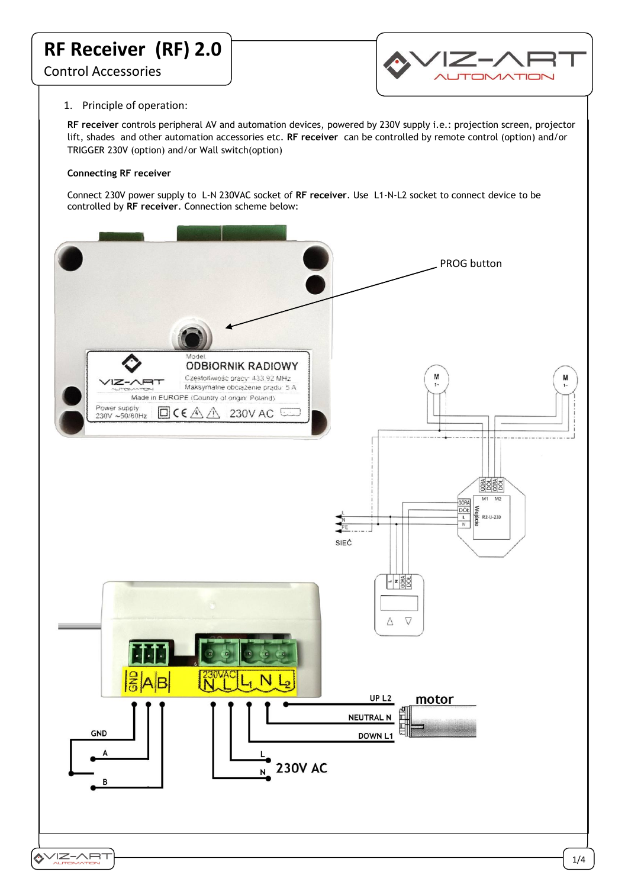

# 1. Principle of operation:

**RF receiver** controls peripheral AV and automation devices, powered by 230V supply i.e.: projection screen, projector lift, shades and other automation accessories etc. **RF receiver** can be controlled by remote control (option) and/or TRIGGER 230V (option) and/or Wall switch(option)

## **Connecting RF receiver**

Connect 230V power supply to L-N 230VAC socket of **RF receiver**. Use L1-N-L2 socket to connect device to be controlled by **RF receiver**. Connection scheme below:

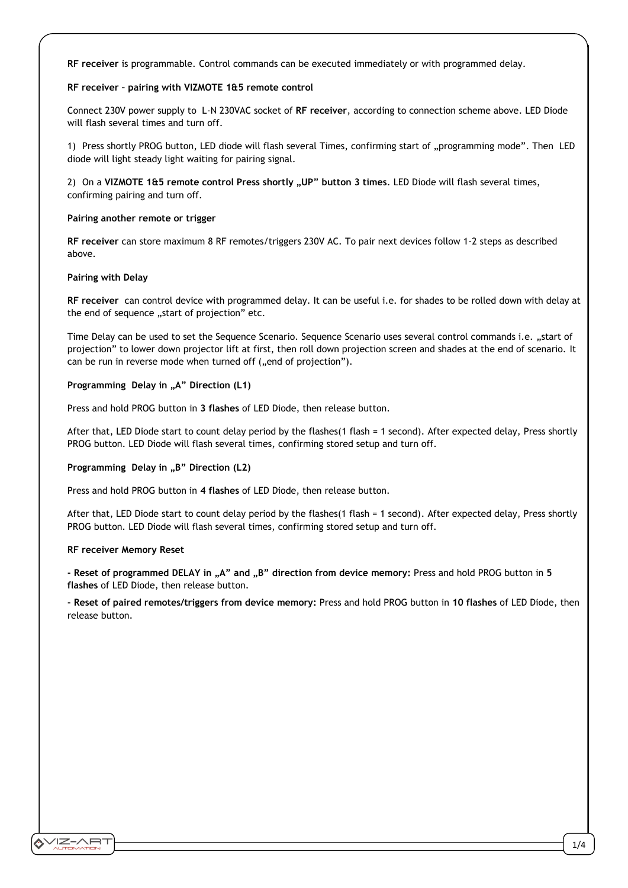**RF receiver** is programmable. Control commands can be executed immediately or with programmed delay.

## **RF receiver – pairing with VIZMOTE 1&5 remote control**

Connect 230V power supply to L-N 230VAC socket of **RF receiver**, according to connection scheme above. LED Diode will flash several times and turn off.

1) Press shortly PROG button, LED diode will flash several Times, confirming start of "programming mode". Then LED diode will light steady light waiting for pairing signal.

2) On a VIZMOTE 1&5 remote control Press shortly "UP" button 3 times. LED Diode will flash several times, confirming pairing and turn off.

#### **Pairing another remote or trigger**

**RF receiver** can store maximum 8 RF remotes/triggers 230V AC. To pair next devices follow 1-2 steps as described above.

#### **Pairing with Delay**

**RF receiver** can control device with programmed delay. It can be useful i.e. for shades to be rolled down with delay at the end of sequence "start of projection" etc.

Time Delay can be used to set the Sequence Scenario. Sequence Scenario uses several control commands i.e. "start of projection" to lower down projector lift at first, then roll down projection screen and shades at the end of scenario. It can be run in reverse mode when turned off ("end of projection").

## **Programming Delay in "A" Direction (L1)**

Press and hold PROG button in **3 flashes** of LED Diode, then release button.

After that, LED Diode start to count delay period by the flashes(1 flash = 1 second). After expected delay, Press shortly PROG button. LED Diode will flash several times, confirming stored setup and turn off.

#### **Programming Delay in "B" Direction (L2)**

Press and hold PROG button in **4 flashes** of LED Diode, then release button.

After that, LED Diode start to count delay period by the flashes(1 flash = 1 second). After expected delay, Press shortly PROG button. LED Diode will flash several times, confirming stored setup and turn off.

#### **RF receiver Memory Reset**

**- Reset of programmed DELAY in "A" and "B" direction from device memory:** Press and hold PROG button in **5 flashes** of LED Diode, then release button.

**- Reset of paired remotes/triggers from device memory:** Press and hold PROG button in **10 flashes** of LED Diode, then release button.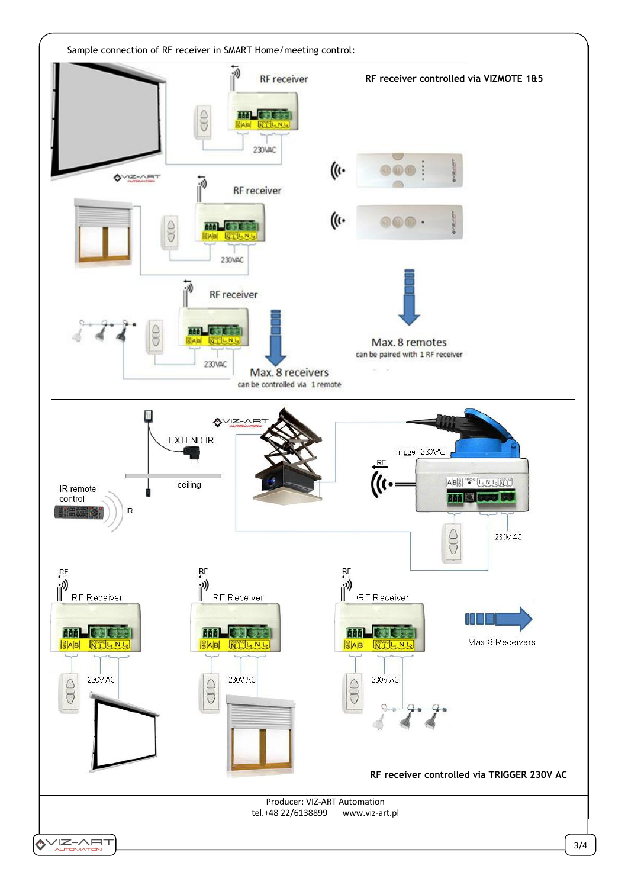